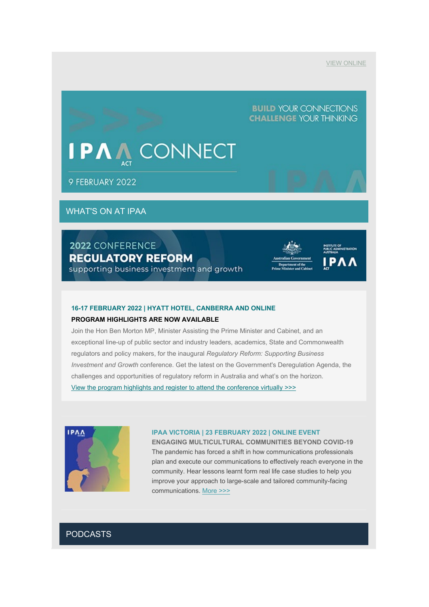## **BUILD YOUR CONNECTIONS CHALLENGE YOUR THINKING**

# **PV CONNECT**

9 FEBRUARY 2022

# WHAT'S ON AT IPAA

# 2022 CONFERENCE **REGULATORY REFORM**

supporting business investment and growth

| astralian Government                         |  |
|----------------------------------------------|--|
| Department of the<br>me Minister and Cabinet |  |



#### **16-17 FEBRUARY 2022 | HYATT HOTEL, CANBERRA AND ONLINE**

#### **PROGRAM HIGHLIGHTS ARE NOW AVAILABLE**

Join the Hon Ben Morton MP, Minister Assisting the Prime Minister and Cabinet, and an exceptional line-up of public sector and industry leaders, academics, State and Commonwealth regulators and policy makers, for the inaugural *Regulatory Reform: Supporting Business Investment and Growth* conference. Get the latest on the Government's Deregulation Agenda, the challenges and opportunities of regulatory reform in Australia and what's on the horizon. [View the program highlights and register to attend the conference virtually](https://www.act.ipaa.org.au/events/2022/regulatory) >>>



#### **IPAA VICTORIA | 23 FEBRUARY 2022 | ONLINE EVENT**

**ENGAGING MULTICULTURAL COMMUNITIES BEYOND COVID-19** The pandemic has forced a shift in how communications professionals plan and execute our communications to effectively reach everyone in the community. Hear lessons learnt form real life case studies to help you improve your approach to large-scale and tailored community-facing communications. [More >>>](https://www.vic.ipaa.org.au/calendar/2022/27/01/engaging-multicultural-communities)

## PODCASTS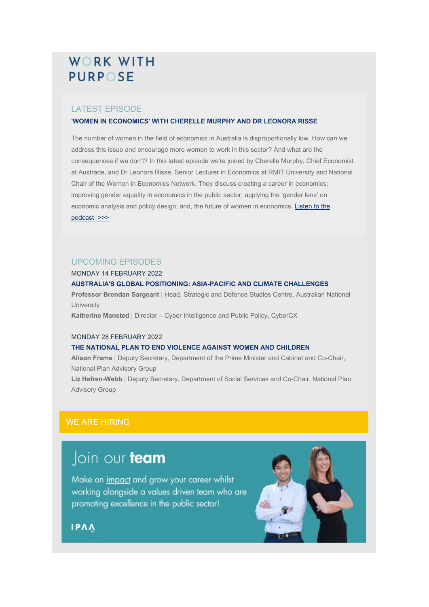# **WORK WITH PURPOSE**

## LATEST EPISODE

#### **'WOMEN IN ECONOMICS' WITH CHERELLE MURPHY AND DR LEONORA RISSE**

The number of women in the field of economics in Australia is disproportionally low. How can we address this issue and encourage more women to work in this sector? And what are the consequences if we don't? In this latest episode we're joined by Cherelle Murphy, Chief Economist at Austrade, and Dr Leonora Risse, Senior Lecturer in Economics at RMIT University and National Chair of the Women in Economics Network. They discuss creating a career in economics; improving gender equality in economics in the public sector; applying the 'gender lens' on economic analysis and policy design; and, the future of women in economics. Listen to the [podcast](https://www.act.ipaa.org.au/workwithpurpose) >>>

### UPCOMING EPISODES

#### MONDAY 14 FEBRUARY 2022

#### **AUSTRALIA'S GLOBAL POSITIONING: ASIA-PACIFIC AND CLIMATE CHALLENGES**

**Professor Brendan Sargeant** | Head, Strategic and Defence Studies Centre, Australian National **University** 

**Katherine Mansted** | Director – Cyber Intelligence and Public Policy, CyberCX

#### MONDAY 28 FEBRUARY 2022

### **THE NATIONAL PLAN TO END VIOLENCE AGAINST WOMEN AND CHILDREN**

**Alison Frame** | Deputy Secretary, Department of the Prime Minister and Cabinet and Co-Chair, National Plan Advisory Group

**Liz Hefren-Webb** | Deputy Secretary, Department of Social Services and Co-Chair, National Plan Advisory Group

# WE ARE HIRING

# Join our team

Make an impact and grow your career whilst working alongside a values driven team who are promoting excellence in the public sector!



**IPAA**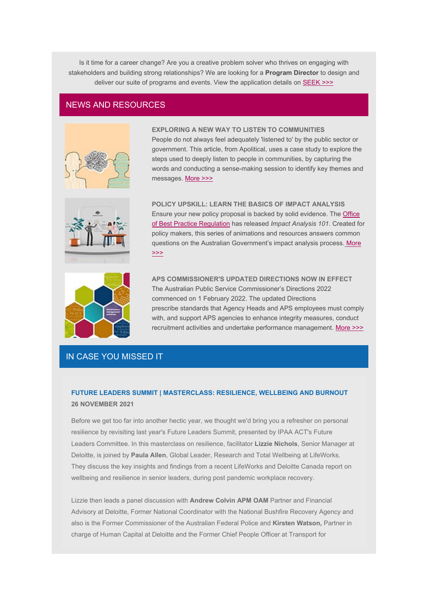Is it time for a career change? Are you a creative problem solver who thrives on engaging with stakeholders and building strong relationships? We are looking for a **Program Director** to design and deliver our suite of programs and events. View the application details on **[SEEK >>>](https://www.seek.com.au/job/55826189)** 

### NEWS AND RESOURCES



**EXPLORING A NEW WAY TO LISTEN TO COMMUNITIES** People do not always feel adequately 'listened to' by the public sector or government. This article, from Apolitical, uses a case study to explore the steps used to deeply listen to people in communities, by capturing the words and conducting a sense-making session to identify key themes and messages. [More >>>](https://apolitical.co/solution-articles/en/exploring-a-new-way-public-services-can-listen?utm_campaign=Weekly%20Briefing%20%E2%80%93%20Platform&utm_medium=email&_hsmi=200016326&_hsenc=p2ANqtz-_9eZLkPurqikS-qaHfJif4EwBqjQUE9AUCGGH2k-CWQJglWRENsFaHMmne8tvyDDOfaxwN4ettBLj6M_9ZquG9o0TwtH_1ET9NpBm00DytbLW6WgI&utm_content=200016326&utm_source=hs_email)



**POLICY UPSKILL: LEARN THE BASICS OF IMPACT ANALYSIS** Ensure your new policy proposal is backed by solid evidence. The [Office](https://obpr.pmc.gov.au/)  [of Best Practice Regulation](https://obpr.pmc.gov.au/) has released *Impact Analysis 101*. Created for policy makers, this series of animations and resources answers common questions on the Australian Government's impact analysis process[.](https://obpr.pmc.gov.au/video-category/impact-analysis-101) [More](https://obpr.pmc.gov.au/video-category/impact-analysis-101)  [>>>](https://obpr.pmc.gov.au/video-category/impact-analysis-101)



**APS COMMISSIONER'S UPDATED DIRECTIONS NOW IN EFFECT** The Australian Public Service Commissioner's Directions 2022 commenced on 1 February 2022. The updated Directions prescribe standards that Agency Heads and APS employees must comply with, and support APS agencies to enhance integrity measures, conduct recruitment activities and undertake performance management. [More >>>](https://www.apsc.gov.au/working-aps/commissioners-directions)

# IN CASE YOU MISSED IT

## **FUTURE LEADERS SUMMIT | MASTERCLASS: RESILIENCE, WELLBEING AND BURNOUT 26 NOVEMBER 2021**

Before we get too far into another hectic year, we thought we'd bring you a refresher on personal resilience by revisiting last year's Future Leaders Summit, presented by IPAA ACT's Future Leaders Committee. In this masterclass on resilience, facilitator **Lizzie Nichols**, Senior Manager at Deloitte, is joined by **Paula Allen**, Global Leader, Research and Total Wellbeing at LifeWorks. They discuss the key insights and findings from a recent LifeWorks and Deloitte Canada report on wellbeing and resilience in senior leaders, during post pandemic workplace recovery.

Lizzie then leads a panel discussion with **Andrew Colvin APM OAM** Partner and Financial Advisory at Deloitte, Former National Coordinator with the National Bushfire Recovery Agency and also is the Former Commissioner of the Australian Federal Police and **Kirsten Watson,** Partner in charge of Human Capital at Deloitte and the Former Chief People Officer at Transport for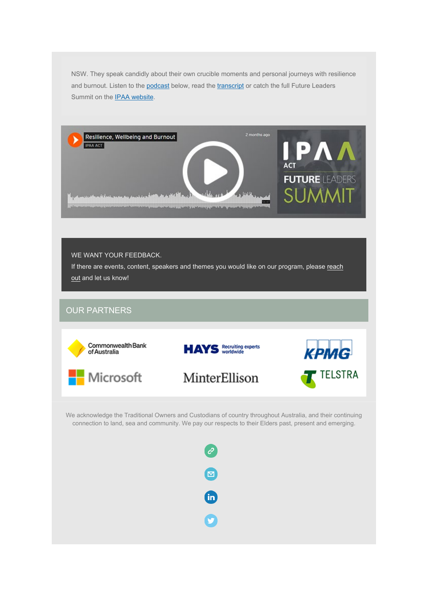NSW. They speak candidly about their own crucible moments and personal journeys with resilience and burnout. Listen to the [podcast](https://soundcloud.com/ipaaact/ipaa-act-2021-future-leaders-1) below, read the [transcript](https://vs286790.blob.core.windows.net/docs/2021%20Future%20Leaders/IPAA%20ACT%20Transcript_Future%20Leaders%20Summit_Panel_Resilience,%20Wellbeing%20and%20Burnout.pdf) or catch the full Future Leaders Summit on the **IPAA website**.